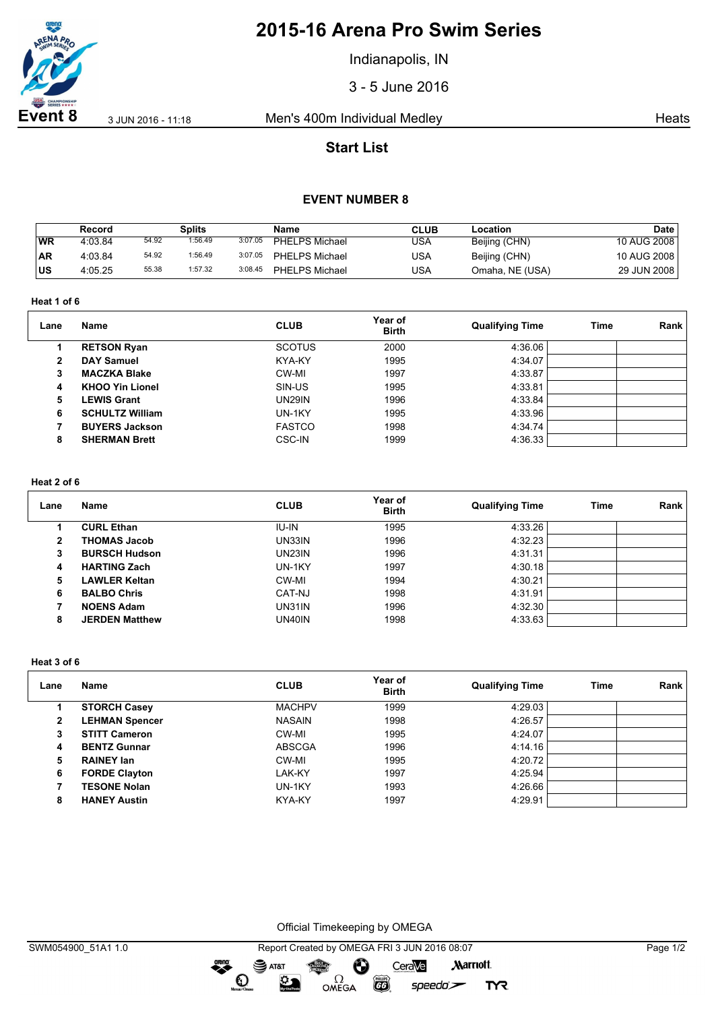

# **2015-16 Arena Pro Swim Series**

Indianapolis, IN

3 - 5 June 2016

**Event 8** 3 Jun 2016 - 11:18 Men's 400m Individual Medley **Heats** Heats

# **Start List**

## **EVENT NUMBER 8**

|           | Record  |       | <b>Splits</b> |         | Name                  | CLUB | Location        | <b>Date</b> |
|-----------|---------|-------|---------------|---------|-----------------------|------|-----------------|-------------|
| WR        | 4:03.84 | 54.92 | 1:56.49       | 3:07.05 | <b>PHELPS Michael</b> | USA  | Beijing (CHN)   | 10 AUG 2008 |
| <b>AR</b> | 4:03.84 | 54.92 | 1:56.49       | 3:07.05 | <b>PHELPS Michael</b> | USA  | Beijing (CHN)   | 10 AUG 2008 |
| lus       | 4:05.25 | 55.38 | 1:57.32       | 3:08.45 | <b>PHELPS Michael</b> | USA  | Omaha, NE (USA) | 29 JUN 2008 |

**Heat 1 of 6**

| Lane         | Name                   | <b>CLUB</b>   | Year of<br><b>Birth</b> | <b>Qualifying Time</b> | Time | Rank |
|--------------|------------------------|---------------|-------------------------|------------------------|------|------|
|              | <b>RETSON Ryan</b>     | <b>SCOTUS</b> | 2000                    | 4:36.06                |      |      |
| $\mathbf{2}$ | <b>DAY Samuel</b>      | KYA-KY        | 1995                    | 4:34.07                |      |      |
| 3            | <b>MACZKA Blake</b>    | CW-MI         | 1997                    | 4:33.87                |      |      |
| 4            | <b>KHOO Yin Lionel</b> | SIN-US        | 1995                    | 4:33.81                |      |      |
| 5            | <b>LEWIS Grant</b>     | <b>UN29IN</b> | 1996                    | 4:33.84                |      |      |
| 6            | <b>SCHULTZ William</b> | UN-1KY        | 1995                    | 4:33.96                |      |      |
|              | <b>BUYERS Jackson</b>  | <b>FASTCO</b> | 1998                    | 4:34.74                |      |      |
| 8            | <b>SHERMAN Brett</b>   | CSC-IN        | 1999                    | 4:36.33                |      |      |

#### **Heat 2 of 6**

| Lane | Name                  | <b>CLUB</b>  | Year of<br><b>Birth</b> | <b>Qualifying Time</b> | <b>Time</b> | Rank |
|------|-----------------------|--------------|-------------------------|------------------------|-------------|------|
|      | <b>CURL Ethan</b>     | <b>IU-IN</b> | 1995                    | 4:33.26                |             |      |
| 2    | <b>THOMAS Jacob</b>   | UN33IN       | 1996                    | 4:32.23                |             |      |
| з    | <b>BURSCH Hudson</b>  | UN23IN       | 1996                    | 4:31.31                |             |      |
| 4    | <b>HARTING Zach</b>   | UN-1KY       | 1997                    | 4:30.18                |             |      |
| 5    | <b>LAWLER Keltan</b>  | CW-MI        | 1994                    | 4:30.21                |             |      |
| 6    | <b>BALBO Chris</b>    | CAT-NJ       | 1998                    | 4:31.91                |             |      |
|      | <b>NOENS Adam</b>     | UN31IN       | 1996                    | 4:32.30                |             |      |
| 8    | <b>JERDEN Matthew</b> | UN40IN       | 1998                    | 4:33.63                |             |      |

**Heat 3 of 6**

| Lane           | Name                  | <b>CLUB</b>   | Year of<br><b>Birth</b> | <b>Qualifying Time</b> | Time | Rank |
|----------------|-----------------------|---------------|-------------------------|------------------------|------|------|
|                | <b>STORCH Casey</b>   | <b>MACHPV</b> | 1999                    | 4:29.03                |      |      |
| $\overline{2}$ | <b>LEHMAN Spencer</b> | <b>NASAIN</b> | 1998                    | 4:26.57                |      |      |
| 3              | <b>STITT Cameron</b>  | CW-MI         | 1995                    | 4:24.07                |      |      |
| 4              | <b>BENTZ Gunnar</b>   | <b>ABSCGA</b> | 1996                    | 4:14.16                |      |      |
| 5              | <b>RAINEY Ian</b>     | CW-MI         | 1995                    | 4:20.72                |      |      |
| 6              | <b>FORDE Clayton</b>  | LAK-KY        | 1997                    | 4:25.94                |      |      |
|                | <b>TESONE Nolan</b>   | UN-1KY        | 1993                    | 4:26.66                |      |      |
| 8              | <b>HANEY Austin</b>   | KYA-KY        | 1997                    | 4:29.91                |      |      |

Official Timekeeping by OMEGA

 $\Omega$ OMEGA

CeraVe

 $speedo$ 

 $\overline{G}$ 

**Marriott** 

**TYR** 

dreng:

 $\mathbf{O}$ 

SAT&T

 $\mathfrak{D}$